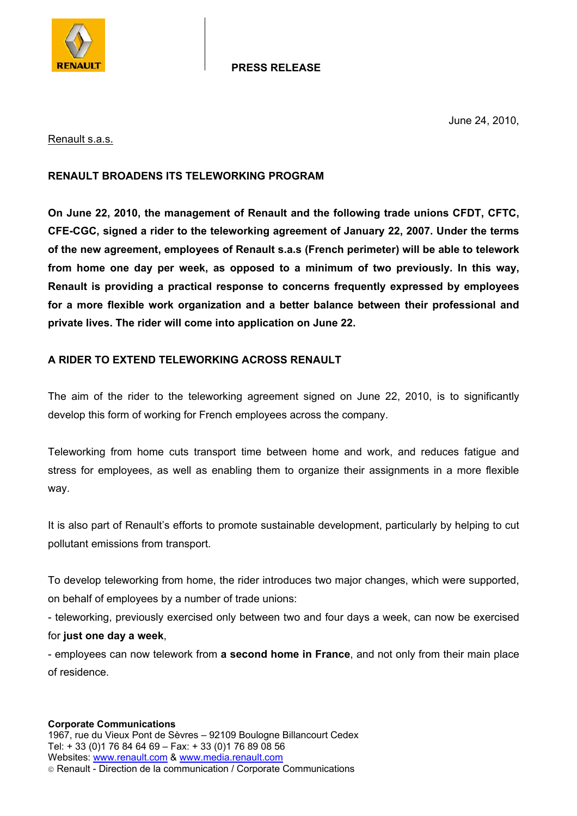

### **PRESS RELEASE**

June 24, 2010,

#### Renault s.a.s.

# **RENAULT BROADENS ITS TELEWORKING PROGRAM**

**On June 22, 2010, the management of Renault and the following trade unions CFDT, CFTC, CFE-CGC, signed a rider to the teleworking agreement of January 22, 2007. Under the terms of the new agreement, employees of Renault s.a.s (French perimeter) will be able to telework from home one day per week, as opposed to a minimum of two previously. In this way, Renault is providing a practical response to concerns frequently expressed by employees for a more flexible work organization and a better balance between their professional and private lives. The rider will come into application on June 22.** 

# **A RIDER TO EXTEND TELEWORKING ACROSS RENAULT**

The aim of the rider to the teleworking agreement signed on June 22, 2010, is to significantly develop this form of working for French employees across the company.

Teleworking from home cuts transport time between home and work, and reduces fatigue and stress for employees, as well as enabling them to organize their assignments in a more flexible way.

It is also part of Renault's efforts to promote sustainable development, particularly by helping to cut pollutant emissions from transport.

To develop teleworking from home, the rider introduces two major changes, which were supported, on behalf of employees by a number of trade unions:

- teleworking, previously exercised only between two and four days a week, can now be exercised for **just one day a week**,

- employees can now telework from **a second home in France**, and not only from their main place of residence.